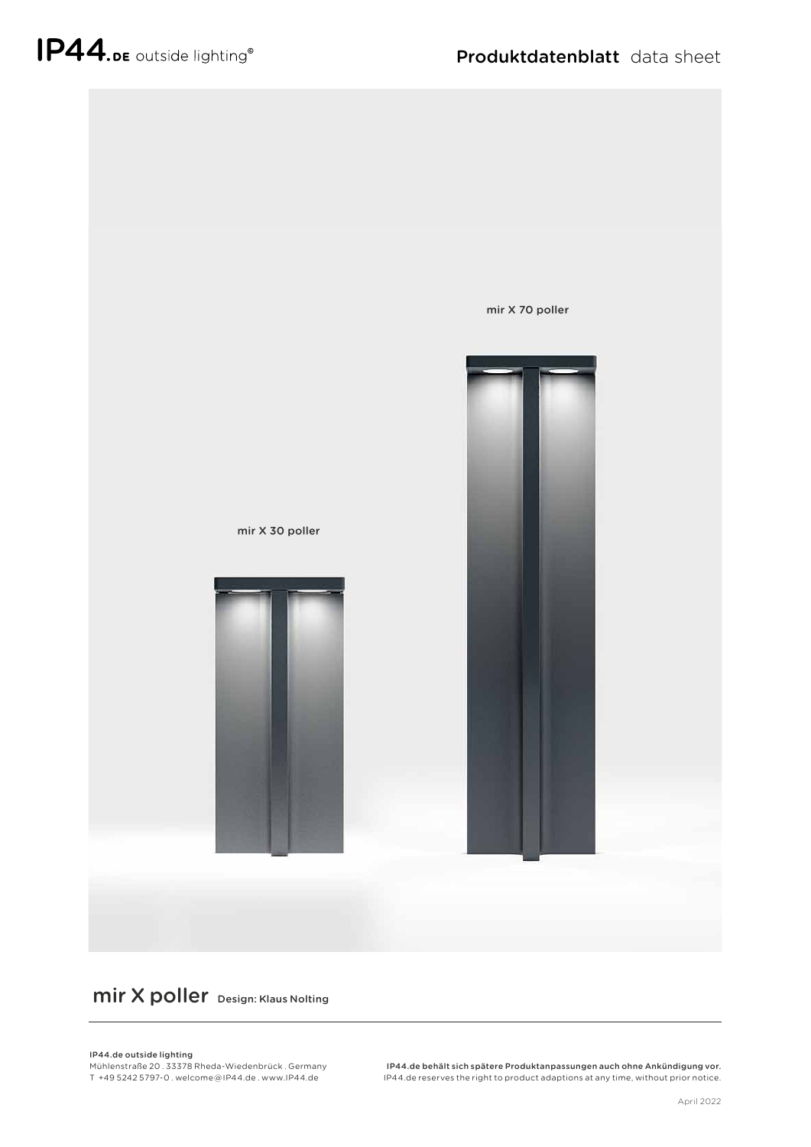

## mir X poller Design: Klaus Nolting

## IP44.de outside lighting

Mühlenstraße 20 . 33378 Rheda-Wiedenbrück . Germany T +49 5242 5797-0 . welcome @ IP44.de . www.IP44.de

IP44.de behält sich spätere Produktanpassungen auch ohne Ankündigung vor. IP44.de reserves the right to product adaptions at any time, without prior notice.